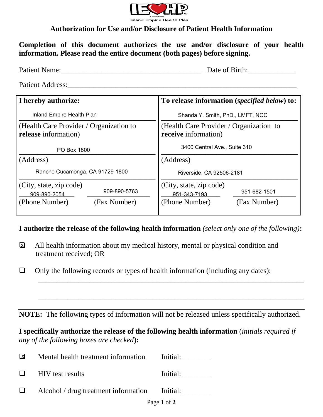

## **Authorization for Use and/or Disclosure of Patient Health Information**

**Completion of this document authorizes the use and/or disclosure of your health information. Please read the entire document (both pages) before signing.** 

| Patient Name:                                                   |                              | Date of Birth:                                                  |                              |
|-----------------------------------------------------------------|------------------------------|-----------------------------------------------------------------|------------------------------|
| Patient Address:                                                |                              |                                                                 |                              |
| I hereby authorize:                                             |                              | To release information (specified below) to:                    |                              |
| Inland Empire Health Plan                                       |                              | Shanda Y. Smith, PhD., LMFT, NCC                                |                              |
| (Health Care Provider / Organization to<br>release information) |                              | (Health Care Provider / Organization to<br>receive information) |                              |
| PO Box 1800                                                     |                              | 3400 Central Ave., Suite 310                                    |                              |
| (Address)                                                       |                              | (Address)                                                       |                              |
| Rancho Cucamonga, CA 91729-1800                                 |                              | Riverside, CA 92506-2181                                        |                              |
| (City, state, zip code)<br>909-890-2054<br>(Phone Number)       | 909-890-5763<br>(Fax Number) | (City, state, zip code)<br>951-343-7193<br>(Phone Number)       | 951-682-1501<br>(Fax Number) |
|                                                                 |                              |                                                                 |                              |

## **I authorize the release of the following health information** *(select only one of the following)***:**

- All health information about my medical history, mental or physical condition and treatment received; OR  $\overline{\mathbf{z}}$
- $\Box$  Only the following records or types of health information (including any dates):

**NOTE:** The following types of information will not be released unless specifically authorized.

 $\overline{\phantom{a}}$  ,  $\overline{\phantom{a}}$  ,  $\overline{\phantom{a}}$  ,  $\overline{\phantom{a}}$  ,  $\overline{\phantom{a}}$  ,  $\overline{\phantom{a}}$  ,  $\overline{\phantom{a}}$  ,  $\overline{\phantom{a}}$  ,  $\overline{\phantom{a}}$  ,  $\overline{\phantom{a}}$  ,  $\overline{\phantom{a}}$  ,  $\overline{\phantom{a}}$  ,  $\overline{\phantom{a}}$  ,  $\overline{\phantom{a}}$  ,  $\overline{\phantom{a}}$  ,  $\overline{\phantom{a}}$ 

\_\_\_\_\_\_\_\_\_\_\_\_\_\_\_\_\_\_\_\_\_\_\_\_\_\_\_\_\_\_\_\_\_\_\_\_\_\_\_\_\_\_\_\_\_\_\_\_\_\_\_\_\_\_\_\_\_\_\_\_\_\_\_\_\_\_\_\_\_\_\_\_

# **I specifically authorize the release of the following health information** (*initials required if any of the following boxes are checked*)**:**

| ᢂ      | Mental health treatment information Initial:  |          |
|--------|-----------------------------------------------|----------|
| $\Box$ | <b>HIV</b> test results                       | Initial: |
| ப      | Alcohol / drug treatment information Initial: |          |